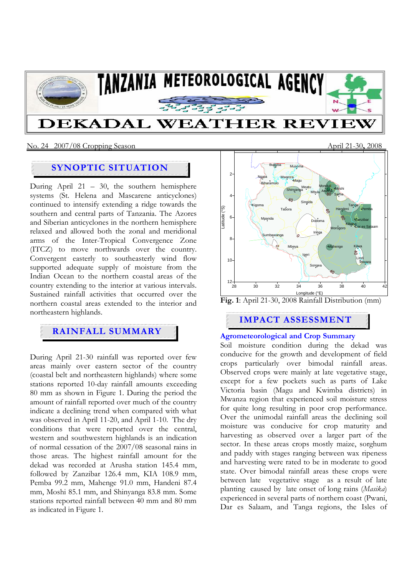

### No. 24 2007/08 Cropping Season April 21-30**,** 2008

# **SYNOPTIC SITUATION**

During April 21 – 30, the southern hemisphere systems (St. Helena and Mascarene anticyclones) continued to intensify extending a ridge towards the southern and central parts of Tanzania. The Azores and Siberian anticyclones in the northern hemisphere relaxed and allowed both the zonal and meridional arms of the Inter-Tropical Convergence Zone (ITCZ) to move northwards over the country. Convergent easterly to southeasterly wind flow supported adequate supply of moisture from the Indian Ocean to the northern coastal areas of the country extending to the interior at various intervals. Sustained rainfall activities that occurred over the northern coastal areas extended to the interior and northeastern highlands.

## **RAINFALL SUMMARY**

During April 21-30 rainfall was reported over few areas mainly over eastern sector of the country (coastal belt and northeastern highlands) where some stations reported 10-day rainfall amounts exceeding 80 mm as shown in Figure 1. During the period the amount of rainfall reported over much of the country indicate a declining trend when compared with what was observed in April 11-20, and April 1-10. The dry conditions that were reported over the central, western and southwestern highlands is an indication of normal cessation of the 2007/08 seasonal rains in those areas. The highest rainfall amount for the dekad was recorded at Arusha station 145.4 mm, followed by Zanzibar 126.4 mm, KIA 108.9 mm, Pemba 99.2 mm, Mahenge 91.0 mm, Handeni 87.4 mm, Moshi 85.1 mm, and Shinyanga 83.8 mm. Some stations reported rainfall between 40 mm and 80 mm as indicated in Figure 1.





## **IMPACT ASSESSMENT**

## **Agrometeorological and Crop Summary**

Soil moisture condition during the dekad was conducive for the growth and development of field crops particularly over bimodal rainfall areas. Observed crops were mainly at late vegetative stage, except for a few pockets such as parts of Lake Victoria basin (Magu and Kwimba districts) in Mwanza region that experienced soil moisture stress for quite long resulting in poor crop performance. Over the unimodal rainfall areas the declining soil moisture was conducive for crop maturity and harvesting as observed over a larger part of the sector. In these areas crops mostly maize, sorghum and paddy with stages ranging between wax ripeness and harvesting were rated to be in moderate to good state. Over bimodal rainfall areas these crops were between late vegetative stage as a result of late planting caused by late onset of long rains (*Masika*) experienced in several parts of northern coast (Pwani, Dar es Salaam, and Tanga regions, the Isles of